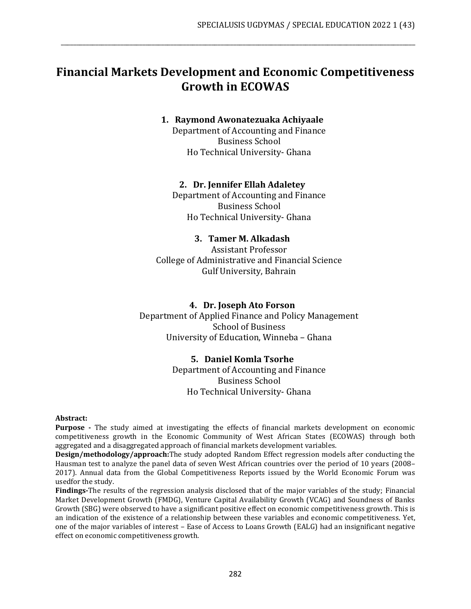# **Financial Markets Development and Economic Competitiveness Growth in ECOWAS**

\_\_\_\_\_\_\_\_\_\_\_\_\_\_\_\_\_\_\_\_\_\_\_\_\_\_\_\_\_\_\_\_\_\_\_\_\_\_\_\_\_\_\_\_\_\_\_\_\_\_\_\_\_\_\_\_\_\_\_\_\_\_\_\_\_\_\_\_\_\_\_\_\_\_\_\_\_\_\_\_\_\_\_\_\_\_\_\_\_\_\_\_\_\_\_\_\_\_\_\_\_\_\_\_\_\_\_\_\_\_\_\_\_

#### **1. Raymond Awonatezuaka Achiyaale**

Department of Accounting and Finance Business School Ho Technical University- Ghana

#### **2. Dr. Jennifer Ellah Adaletey**

Department of Accounting and Finance Business School Ho Technical University- Ghana

### **3. Tamer M. Alkadash**

Assistant Professor College of Administrative and Financial Science Gulf University, Bahrain

#### **4. Dr. Joseph Ato Forson**

Department of Applied Finance and Policy Management School of Business University of Education, Winneba – Ghana

## **5. Daniel Komla Tsorhe**

Department of Accounting and Finance Business School Ho Technical University- Ghana

#### **Abstract:**

**Purpose -** The study aimed at investigating the effects of financial markets development on economic competitiveness growth in the Economic Community of West African States (ECOWAS) through both aggregated and a disaggregated approach of financial markets development variables.

**Design/methodology/approach:**The study adopted Random Effect regression models after conducting the Hausman test to analyze the panel data of seven West African countries over the period of 10 years (2008– 2017). Annual data from the Global Competitiveness Reports issued by the World Economic Forum was usedfor the study.

**Findings-**The results of the regression analysis disclosed that of the major variables of the study; Financial Market Development Growth (FMDG), Venture Capital Availability Growth (VCAG) and Soundness of Banks Growth (SBG) were observed to have a significant positive effect on economic competitiveness growth. This is an indication of the existence of a relationship between these variables and economic competitiveness. Yet, one of the major variables of interest – Ease of Access to Loans Growth (EALG) had an insignificant negative effect on economic competitiveness growth.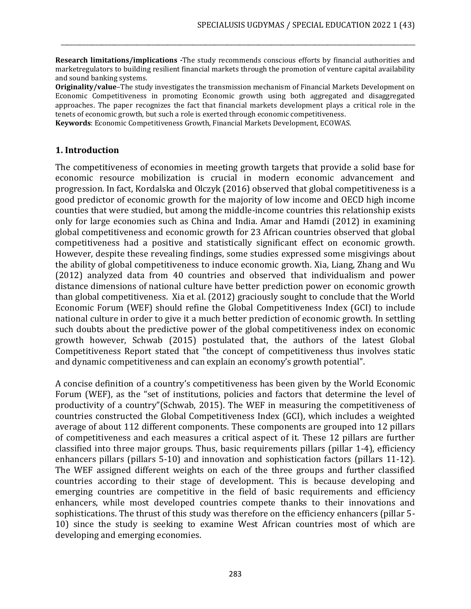**Research limitations/implications -**The study recommends conscious efforts by financial authorities and marketregulators to building resilient financial markets through the promotion of venture capital availability and sound banking systems.

\_\_\_\_\_\_\_\_\_\_\_\_\_\_\_\_\_\_\_\_\_\_\_\_\_\_\_\_\_\_\_\_\_\_\_\_\_\_\_\_\_\_\_\_\_\_\_\_\_\_\_\_\_\_\_\_\_\_\_\_\_\_\_\_\_\_\_\_\_\_\_\_\_\_\_\_\_\_\_\_\_\_\_\_\_\_\_\_\_\_\_\_\_\_\_\_\_\_\_\_\_\_\_\_\_\_\_\_\_\_\_\_\_

**Originality/value**–The study investigates the transmission mechanism of Financial Markets Development on Economic Competitiveness in promoting Economic growth using both aggregated and disaggregated approaches. The paper recognizes the fact that financial markets development plays a critical role in the tenets of economic growth, but such a role is exerted through economic competitiveness.

**Keywords**: Economic Competitiveness Growth, Financial Markets Development, ECOWAS.

#### **1. Introduction**

The competitiveness of economies in meeting growth targets that provide a solid base for economic resource mobilization is crucial in modern economic advancement and progression. In fact, Kordalska and Olczyk (2016) observed that global competitiveness is a good predictor of economic growth for the majority of low income and OECD high income counties that were studied, but among the middle-income countries this relationship exists only for large economies such as China and India. Amar and Hamdi (2012) in examining global competitiveness and economic growth for 23 African countries observed that global competitiveness had a positive and statistically significant effect on economic growth. However, despite these revealing findings, some studies expressed some misgivings about the ability of global competitiveness to induce economic growth. Xia, Liang, Zhang and Wu (2012) analyzed data from 40 countries and observed that individualism and power distance dimensions of national culture have better prediction power on economic growth than global competitiveness. Xia et al. (2012) graciously sought to conclude that the World Economic Forum (WEF) should refine the Global Competitiveness Index (GCI) to include national culture in order to give it a much better prediction of economic growth. In settling such doubts about the predictive power of the global competitiveness index on economic growth however, Schwab (2015) postulated that, the authors of the latest Global Competitiveness Report stated that "the concept of competitiveness thus involves static and dynamic competitiveness and can explain an economy's growth potential".

A concise definition of a country's competitiveness has been given by the World Economic Forum (WEF), as the "set of institutions, policies and factors that determine the level of productivity of a country"(Schwab, 2015). The WEF in measuring the competitiveness of countries constructed the Global Competitiveness Index (GCI), which includes a weighted average of about 112 different components. These components are grouped into 12 pillars of competitiveness and each measures a critical aspect of it. These 12 pillars are further classified into three major groups. Thus, basic requirements pillars (pillar 1-4), efficiency enhancers pillars (pillars 5-10) and innovation and sophistication factors (pillars 11-12). The WEF assigned different weights on each of the three groups and further classified countries according to their stage of development. This is because developing and emerging countries are competitive in the field of basic requirements and efficiency enhancers, while most developed countries compete thanks to their innovations and sophistications. The thrust of this study was therefore on the efficiency enhancers (pillar 5- 10) since the study is seeking to examine West African countries most of which are developing and emerging economies.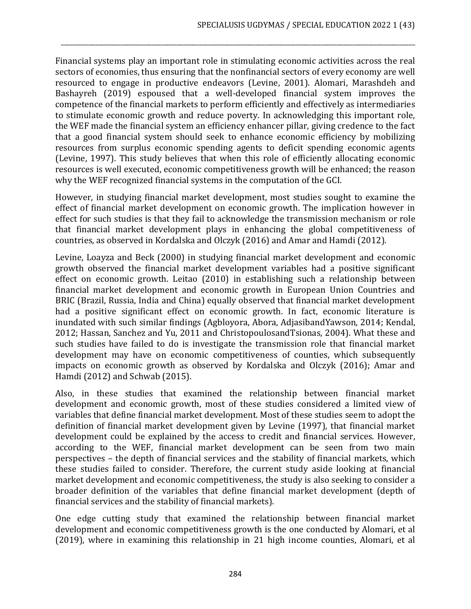Financial systems play an important role in stimulating economic activities across the real sectors of economies, thus ensuring that the nonfinancial sectors of every economy are well resourced to engage in productive endeavors (Levine, 2001). Alomari, Marashdeh and Bashayreh (2019) espoused that a well-developed financial system improves the competence of the financial markets to perform efficiently and effectively as intermediaries to stimulate economic growth and reduce poverty. In acknowledging this important role, the WEF made the financial system an efficiency enhancer pillar, giving credence to the fact that a good financial system should seek to enhance economic efficiency by mobilizing resources from surplus economic spending agents to deficit spending economic agents (Levine, 1997). This study believes that when this role of efficiently allocating economic resources is well executed, economic competitiveness growth will be enhanced; the reason why the WEF recognized financial systems in the computation of the GCI.

\_\_\_\_\_\_\_\_\_\_\_\_\_\_\_\_\_\_\_\_\_\_\_\_\_\_\_\_\_\_\_\_\_\_\_\_\_\_\_\_\_\_\_\_\_\_\_\_\_\_\_\_\_\_\_\_\_\_\_\_\_\_\_\_\_\_\_\_\_\_\_\_\_\_\_\_\_\_\_\_\_\_\_\_\_\_\_\_\_\_\_\_\_\_\_\_\_\_\_\_\_\_\_\_\_\_\_\_\_\_\_\_\_

However, in studying financial market development, most studies sought to examine the effect of financial market development on economic growth. The implication however in effect for such studies is that they fail to acknowledge the transmission mechanism or role that financial market development plays in enhancing the global competitiveness of countries, as observed in Kordalska and Olczyk (2016) and Amar and Hamdi (2012).

Levine, Loayza and Beck (2000) in studying financial market development and economic growth observed the financial market development variables had a positive significant effect on economic growth. Leitao (2010) in establishing such a relationship between financial market development and economic growth in European Union Countries and BRIC (Brazil, Russia, India and China) equally observed that financial market development had a positive significant effect on economic growth. In fact, economic literature is inundated with such similar findings (Agbloyora, Abora, AdjasibandYawson, 2014; Kendal, 2012; Hassan, Sanchez and Yu, 2011 and ChristopoulosandTsionas, 2004). What these and such studies have failed to do is investigate the transmission role that financial market development may have on economic competitiveness of counties, which subsequently impacts on economic growth as observed by Kordalska and Olczyk (2016); Amar and Hamdi (2012) and Schwab (2015).

Also, in these studies that examined the relationship between financial market development and economic growth, most of these studies considered a limited view of variables that define financial market development. Most of these studies seem to adopt the definition of financial market development given by Levine (1997), that financial market development could be explained by the access to credit and financial services. However, according to the WEF, financial market development can be seen from two main perspectives – the depth of financial services and the stability of financial markets, which these studies failed to consider. Therefore, the current study aside looking at financial market development and economic competitiveness, the study is also seeking to consider a broader definition of the variables that define financial market development (depth of financial services and the stability of financial markets).

One edge cutting study that examined the relationship between financial market development and economic competitiveness growth is the one conducted by Alomari, et al (2019), where in examining this relationship in 21 high income counties, Alomari, et al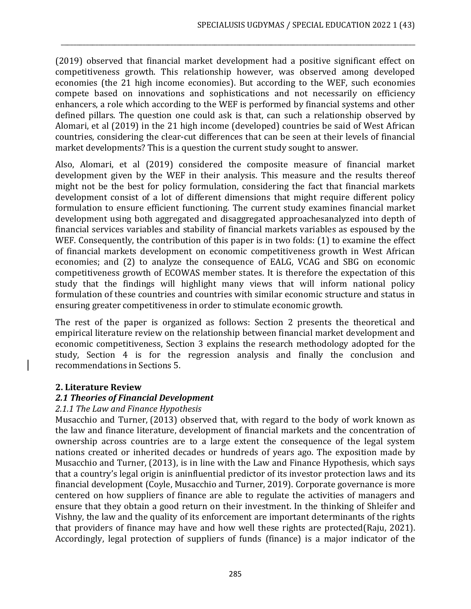(2019) observed that financial market development had a positive significant effect on competitiveness growth. This relationship however, was observed among developed economies (the 21 high income economies). But according to the WEF, such economies compete based on innovations and sophistications and not necessarily on efficiency enhancers, a role which according to the WEF is performed by financial systems and other defined pillars. The question one could ask is that, can such a relationship observed by Alomari, et al (2019) in the 21 high income (developed) countries be said of West African countries, considering the clear-cut differences that can be seen at their levels of financial market developments? This is a question the current study sought to answer.

\_\_\_\_\_\_\_\_\_\_\_\_\_\_\_\_\_\_\_\_\_\_\_\_\_\_\_\_\_\_\_\_\_\_\_\_\_\_\_\_\_\_\_\_\_\_\_\_\_\_\_\_\_\_\_\_\_\_\_\_\_\_\_\_\_\_\_\_\_\_\_\_\_\_\_\_\_\_\_\_\_\_\_\_\_\_\_\_\_\_\_\_\_\_\_\_\_\_\_\_\_\_\_\_\_\_\_\_\_\_\_\_\_

Also, Alomari, et al (2019) considered the composite measure of financial market development given by the WEF in their analysis. This measure and the results thereof might not be the best for policy formulation, considering the fact that financial markets development consist of a lot of different dimensions that might require different policy formulation to ensure efficient functioning. The current study examines financial market development using both aggregated and disaggregated approachesanalyzed into depth of financial services variables and stability of financial markets variables as espoused by the WEF. Consequently, the contribution of this paper is in two folds: (1) to examine the effect of financial markets development on economic competitiveness growth in West African economies; and (2) to analyze the consequence of EALG, VCAG and SBG on economic competitiveness growth of ECOWAS member states. It is therefore the expectation of this study that the findings will highlight many views that will inform national policy formulation of these countries and countries with similar economic structure and status in ensuring greater competitiveness in order to stimulate economic growth.

The rest of the paper is organized as follows: Section 2 presents the theoretical and empirical literature review on the relationship between financial market development and economic competitiveness, Section 3 explains the research methodology adopted for the study, Section 4 is for the regression analysis and finally the conclusion and recommendations in Sections 5.

#### **2. Literature Review**

## *2.1 Theories of Financial Development*

#### *2.1.1 The Law and Finance Hypothesis*

Musacchio and Turner, (2013) observed that, with regard to the body of work known as the law and finance literature, development of financial markets and the concentration of ownership across countries are to a large extent the consequence of the legal system nations created or inherited decades or hundreds of years ago. The exposition made by Musacchio and Turner, (2013), is in line with the Law and Finance Hypothesis, which says that a country's legal origin is aninfluential predictor of its investor protection laws and its financial development (Coyle, Musacchio and Turner, 2019). Corporate governance is more centered on how suppliers of finance are able to regulate the activities of managers and ensure that they obtain a good return on their investment. In the thinking of Shleifer and Vishny, the law and the quality of its enforcement are important determinants of the rights that providers of finance may have and how well these rights are protected(Raju, 2021). Accordingly, legal protection of suppliers of funds (finance) is a major indicator of the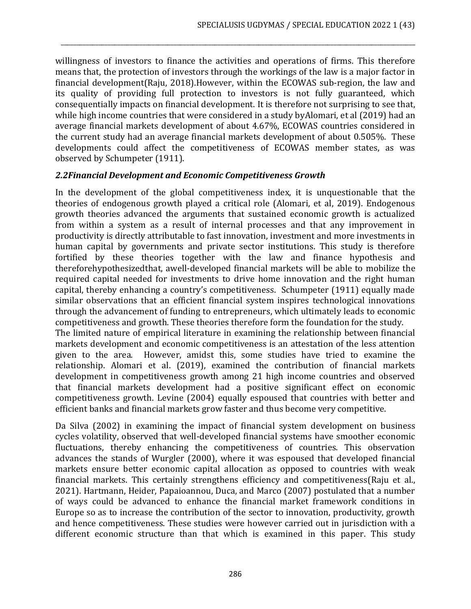willingness of investors to finance the activities and operations of firms. This therefore means that, the protection of investors through the workings of the law is a major factor in financial development(Raju, 2018).However, within the ECOWAS sub-region, the law and its quality of providing full protection to investors is not fully guaranteed, which consequentially impacts on financial development. It is therefore not surprising to see that, while high income countries that were considered in a study byAlomari, et al (2019) had an average financial markets development of about 4.67%, ECOWAS countries considered in the current study had an average financial markets development of about 0.505%. These developments could affect the competitiveness of ECOWAS member states, as was observed by Schumpeter (1911).

\_\_\_\_\_\_\_\_\_\_\_\_\_\_\_\_\_\_\_\_\_\_\_\_\_\_\_\_\_\_\_\_\_\_\_\_\_\_\_\_\_\_\_\_\_\_\_\_\_\_\_\_\_\_\_\_\_\_\_\_\_\_\_\_\_\_\_\_\_\_\_\_\_\_\_\_\_\_\_\_\_\_\_\_\_\_\_\_\_\_\_\_\_\_\_\_\_\_\_\_\_\_\_\_\_\_\_\_\_\_\_\_\_

#### *2.2Financial Development and Economic Competitiveness Growth*

In the development of the global competitiveness index, it is unquestionable that the theories of endogenous growth played a critical role (Alomari, et al, 2019). Endogenous growth theories advanced the arguments that sustained economic growth is actualized from within a system as a result of internal processes and that any improvement in productivity is directly attributable to fast innovation, investment and more investments in human capital by governments and private sector institutions. This study is therefore fortified by these theories together with the law and finance hypothesis and thereforehypothesizedthat, awell-developed financial markets will be able to mobilize the required capital needed for investments to drive home innovation and the right human capital, thereby enhancing a country's competitiveness. Schumpeter (1911) equally made similar observations that an efficient financial system inspires technological innovations through the advancement of funding to entrepreneurs, which ultimately leads to economic competitiveness and growth. These theories therefore form the foundation for the study.

The limited nature of empirical literature in examining the relationship between financial markets development and economic competitiveness is an attestation of the less attention given to the area. However, amidst this, some studies have tried to examine the relationship. Alomari et al. (2019), examined the contribution of financial markets development in competitiveness growth among 21 high income countries and observed that financial markets development had a positive significant effect on economic competitiveness growth. Levine (2004) equally espoused that countries with better and efficient banks and financial markets grow faster and thus become very competitive.

Da Silva (2002) in examining the impact of financial system development on business cycles volatility, observed that well-developed financial systems have smoother economic fluctuations, thereby enhancing the competitiveness of countries. This observation advances the stands of Wurgler (2000), where it was espoused that developed financial markets ensure better economic capital allocation as opposed to countries with weak financial markets. This certainly strengthens efficiency and competitiveness(Raju et al., 2021). Hartmann, Heider, Papaioannou, Duca, and Marco (2007) postulated that a number of ways could be advanced to enhance the financial market framework conditions in Europe so as to increase the contribution of the sector to innovation, productivity, growth and hence competitiveness. These studies were however carried out in jurisdiction with a different economic structure than that which is examined in this paper. This study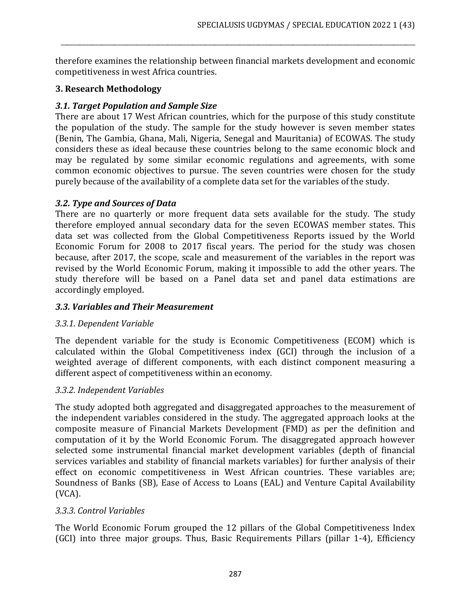therefore examines the relationship between financial markets development and economic competitiveness in west Africa countries.

\_\_\_\_\_\_\_\_\_\_\_\_\_\_\_\_\_\_\_\_\_\_\_\_\_\_\_\_\_\_\_\_\_\_\_\_\_\_\_\_\_\_\_\_\_\_\_\_\_\_\_\_\_\_\_\_\_\_\_\_\_\_\_\_\_\_\_\_\_\_\_\_\_\_\_\_\_\_\_\_\_\_\_\_\_\_\_\_\_\_\_\_\_\_\_\_\_\_\_\_\_\_\_\_\_\_\_\_\_\_\_\_\_

## **3. Research Methodology**

## *3.1. Target Population and Sample Size*

There are about 17 West African countries, which for the purpose of this study constitute the population of the study. The sample for the study however is seven member states (Benin, The Gambia, Ghana, Mali, Nigeria, Senegal and Mauritania) of ECOWAS. The study considers these as ideal because these countries belong to the same economic block and may be regulated by some similar economic regulations and agreements, with some common economic objectives to pursue. The seven countries were chosen for the study purely because of the availability of a complete data set for the variables of the study.

### *3.2. Type and Sources of Data*

There are no quarterly or more frequent data sets available for the study. The study therefore employed annual secondary data for the seven ECOWAS member states. This data set was collected from the Global Competitiveness Reports issued by the World Economic Forum for 2008 to 2017 fiscal years. The period for the study was chosen because, after 2017, the scope, scale and measurement of the variables in the report was revised by the World Economic Forum, making it impossible to add the other years. The study therefore will be based on a Panel data set and panel data estimations are accordingly employed.

## *3.3. Variables and Their Measurement*

## *3.3.1. Dependent Variable*

The dependent variable for the study is Economic Competitiveness (ECOM) which is calculated within the Global Competitiveness index (GCI) through the inclusion of a weighted average of different components, with each distinct component measuring a different aspect of competitiveness within an economy.

#### *3.3.2. Independent Variables*

The study adopted both aggregated and disaggregated approaches to the measurement of the independent variables considered in the study. The aggregated approach looks at the composite measure of Financial Markets Development (FMD) as per the definition and computation of it by the World Economic Forum. The disaggregated approach however selected some instrumental financial market development variables (depth of financial services variables and stability of financial markets variables) for further analysis of their effect on economic competitiveness in West African countries. These variables are; Soundness of Banks (SB), Ease of Access to Loans (EAL) and Venture Capital Availability (VCA).

#### *3.3.3. Control Variables*

The World Economic Forum grouped the 12 pillars of the Global Competitiveness Index (GCI) into three major groups. Thus, Basic Requirements Pillars (pillar 1-4), Efficiency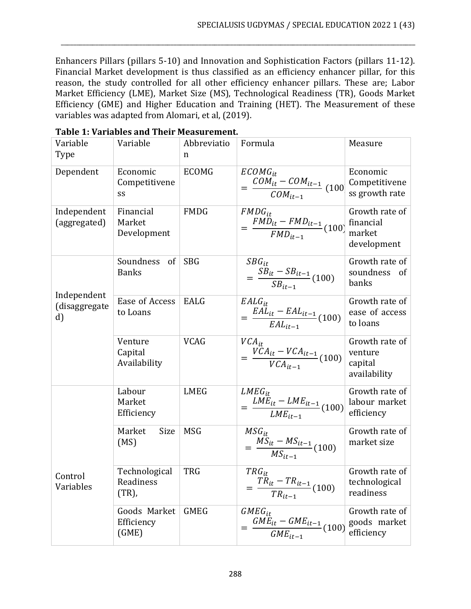Enhancers Pillars (pillars 5-10) and Innovation and Sophistication Factors (pillars 11-12). Financial Market development is thus classified as an efficiency enhancer pillar, for this reason, the study controlled for all other efficiency enhancer pillars. These are; Labor Market Efficiency (LME), Market Size (MS), Technological Readiness (TR), Goods Market Efficiency (GME) and Higher Education and Training (HET). The Measurement of these variables was adapted from Alomari, et al, (2019).

\_\_\_\_\_\_\_\_\_\_\_\_\_\_\_\_\_\_\_\_\_\_\_\_\_\_\_\_\_\_\_\_\_\_\_\_\_\_\_\_\_\_\_\_\_\_\_\_\_\_\_\_\_\_\_\_\_\_\_\_\_\_\_\_\_\_\_\_\_\_\_\_\_\_\_\_\_\_\_\_\_\_\_\_\_\_\_\_\_\_\_\_\_\_\_\_\_\_\_\_\_\_\_\_\_\_\_\_\_\_\_\_\_

| Variable<br>Type                   | Valiables and Then Measurement.<br>Variable | Abbreviatio<br>n | Formula                                                                       | Measure                                               |
|------------------------------------|---------------------------------------------|------------------|-------------------------------------------------------------------------------|-------------------------------------------------------|
| Dependent                          | Economic<br>Competitivene<br>SS             | <b>ECOMG</b>     | $ECOMG_{it}$<br>$= \frac{COM_{it}^{``}-COM_{it-1}}{COM_{it-1}} (100$          | Economic<br>Competitivene<br>ss growth rate           |
| Independent<br>(aggregated)        | Financial<br>Market<br>Development          | <b>FMDG</b>      | $FMDG_{it}$<br>$=\frac{F M \ddot{D}_{it} - F M D_{it-1}}{F M D_{it-1}} (100)$ | Growth rate of<br>financial<br>market<br>development  |
|                                    | Soundness<br>of<br><b>Banks</b>             | <b>SBG</b>       | $SBG_{it}$<br>$=\frac{SB_{it}-SB_{it-1}}{SB_{it-1}}(100)$                     | Growth rate of<br>soundness<br><sub>of</sub><br>banks |
| Independent<br>(disaggregate<br>d) | Ease of Access<br>to Loans                  | EALG             | $EALG_{it}$<br>$=\frac{EA\ddot{L}_{it}-EAL_{it-1}}{EAL_{it-1}}(100)$          | Growth rate of<br>ease of access<br>to loans          |
|                                    | Venture<br>Capital<br>Availability          | <b>VCAG</b>      | $VCA_{it}$<br>$=\frac{VCA_{it}-VCA_{it-1}}{VCA_{it-1}}(100)$                  | Growth rate of<br>venture<br>capital<br>availability  |
|                                    | Labour<br>Market<br>Efficiency              | <b>LMEG</b>      | $LMEG_{it}$<br>$= \frac{LM\ddot{E}_{it} - LME_{it-1}}{LME_{it-1}} (100)$      | Growth rate of<br>labour market<br>efficiency         |
|                                    | Market<br>Size<br>(MS)                      | <b>MSG</b>       | $MSG_{it}$<br>$= \frac{MS_{it} - MS_{it-1}}{MS_{it-1}}(100)$                  | Growth rate of<br>market size                         |
| Control<br>Variables               | Technological<br>Readiness<br>$(TR)$ ,      | <b>TRG</b>       | $TRG_{it}$<br>$\frac{T\ddot{R}_{it} - TR_{it-1}}{TR_{it-1}}$ (100)            | Growth rate of<br>technological<br>readiness          |
|                                    | Goods Market<br>Efficiency<br>(GME)         | <b>GMEG</b>      | $GMEG_{it}$<br>$\frac{G M \ddot{E}_{it} - G M E_{it-1}}{G M E_{it-1}} (100)$  | Growth rate of<br>goods market<br>efficiency          |

**Table 1: Variables and Their Measurement.**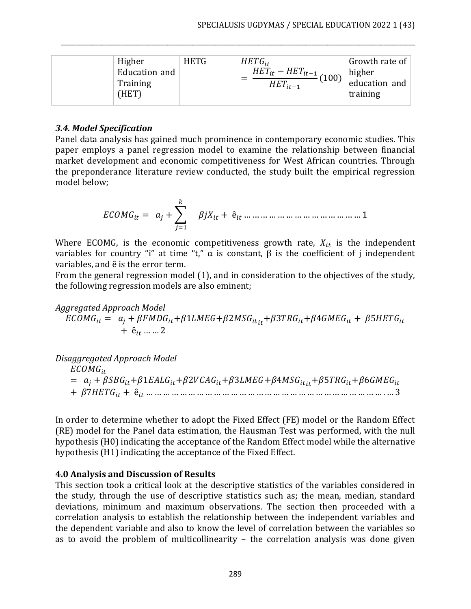| Higher<br>Education and<br>Training<br>(HET) | <b>HETG</b> | $HETG_{it}$<br>$\overline{HET}_{it} - \overline{HET_{it-1}}$ (100) $\vert$ mgure<br>$HET_{it-1}$ | Growth rate of<br>higher<br>education and<br>training |
|----------------------------------------------|-------------|--------------------------------------------------------------------------------------------------|-------------------------------------------------------|
|----------------------------------------------|-------------|--------------------------------------------------------------------------------------------------|-------------------------------------------------------|

\_\_\_\_\_\_\_\_\_\_\_\_\_\_\_\_\_\_\_\_\_\_\_\_\_\_\_\_\_\_\_\_\_\_\_\_\_\_\_\_\_\_\_\_\_\_\_\_\_\_\_\_\_\_\_\_\_\_\_\_\_\_\_\_\_\_\_\_\_\_\_\_\_\_\_\_\_\_\_\_\_\_\_\_\_\_\_\_\_\_\_\_\_\_\_\_\_\_\_\_\_\_\_\_\_\_\_\_\_\_\_\_\_

#### *3.4. Model Specification*

Panel data analysis has gained much prominence in contemporary economic studies. This paper employs a panel regression model to examine the relationship between financial market development and economic competitiveness for West African countries. Through the preponderance literature review conducted, the study built the empirical regression model below;

 = + ∑ =1 + ȇ … … … … … … … … … … … … … … 1

Where ECOMG, is the economic competitiveness growth rate,  $X_{it}$  is the independent variables for country "i" at time "t," α is constant, β is the coefficient of j independent variables, and  $\hat{e}$  is the error term.

From the general regression model (1), and in consideration to the objectives of the study, the following regression models are also eminent;

*Aggregated Approach Model*  $ECOMG_{it} = a_j + \beta FMDG_{it} + \beta 1 LMEG + \beta 2 MSG_{it} + \beta 3 TRG_{it} + \beta 4 GMEG_{it} + \beta 5 HETG_{it}$  $+ \hat{e}_{it}$  ... ... 2

*Disaggregated Approach Model*  $ECOMG_{it}$  $= a_j + \beta SBG_{it} + \beta 1EALG_{it} + \beta 2VCAG_{it} + \beta 3LMEG + \beta 4MSG_{it} + \beta 5TRG_{it} + \beta 6GMEG_{it}$ + 7 + ȇ … … … … … … … … … … … … … … … … … … … … … … … … … … … … . … 3

In order to determine whether to adopt the Fixed Effect (FE) model or the Random Effect (RE) model for the Panel data estimation, the Hausman Test was performed, with the null hypothesis (H0) indicating the acceptance of the Random Effect model while the alternative hypothesis (H1) indicating the acceptance of the Fixed Effect.

#### **4.0 Analysis and Discussion of Results**

This section took a critical look at the descriptive statistics of the variables considered in the study, through the use of descriptive statistics such as; the mean, median, standard deviations, minimum and maximum observations. The section then proceeded with a correlation analysis to establish the relationship between the independent variables and the dependent variable and also to know the level of correlation between the variables so as to avoid the problem of multicollinearity – the correlation analysis was done given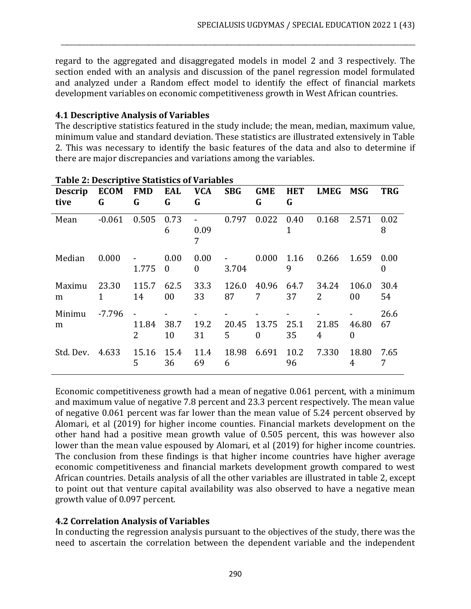regard to the aggregated and disaggregated models in model 2 and 3 respectively. The section ended with an analysis and discussion of the panel regression model formulated and analyzed under a Random effect model to identify the effect of financial markets development variables on economic competitiveness growth in West African countries.

\_\_\_\_\_\_\_\_\_\_\_\_\_\_\_\_\_\_\_\_\_\_\_\_\_\_\_\_\_\_\_\_\_\_\_\_\_\_\_\_\_\_\_\_\_\_\_\_\_\_\_\_\_\_\_\_\_\_\_\_\_\_\_\_\_\_\_\_\_\_\_\_\_\_\_\_\_\_\_\_\_\_\_\_\_\_\_\_\_\_\_\_\_\_\_\_\_\_\_\_\_\_\_\_\_\_\_\_\_\_\_\_\_

#### **4.1 Descriptive Analysis of Variables**

The descriptive statistics featured in the study include; the mean, median, maximum value, minimum value and standard deviation. These statistics are illustrated extensively in Table 2. This was necessary to identify the basic features of the data and also to determine if there are major discrepancies and variations among the variables.

| <b>Descrip</b><br>tive | <b>ECOM</b><br>G | <b>FMD</b><br>G | EAL<br>G         | <b>VCA</b><br>G             | <b>SBG</b>  | <b>GME</b><br>G | <b>HET</b><br>G | LMEG MSG    |             | <b>TRG</b>       |
|------------------------|------------------|-----------------|------------------|-----------------------------|-------------|-----------------|-----------------|-------------|-------------|------------------|
| Mean                   | $-0.061$         | 0.505           | 0.73<br>6        | $\blacksquare$<br>0.09<br>7 | 0.797       | 0.022           | 0.40            | 0.168       | 2.571       | 0.02<br>8        |
| Median                 | 0.000            | 1.775           | 0.00<br>$\bf{0}$ | 0.00<br>$\boldsymbol{0}$    | 3.704       | 0.000           | 1.16<br>9       | 0.266 1.659 |             | 0.00<br>$\theta$ |
| Maximu<br>m            | 23.30<br>1       | 115.7<br>14     | 62.5<br>00       | 33.3<br>33                  | 126.0<br>87 | 40.96<br>7      | 64.7<br>37      | 34.24<br>2  | 106.0<br>00 | 30.4<br>54       |
| Minimu<br>m            | -7.796           | 11.84<br>2      | 38.7<br>10       | 19.2<br>31                  | 20.45<br>5  | 13.75<br>0      | 25.1<br>35      | 21.85<br>4  | 46.80<br>0  | 26.6<br>67       |
| Std. Dev.              | 4.633            | 15.16<br>5      | 15.4<br>36       | 11.4<br>69                  | 18.98<br>6  | 6.691           | 10.2<br>96      | 7.330       | 18.80<br>4  | 7.65<br>7        |

#### **Table 2: Descriptive Statistics of Variables**

Economic competitiveness growth had a mean of negative 0.061 percent, with a minimum and maximum value of negative 7.8 percent and 23.3 percent respectively. The mean value of negative 0.061 percent was far lower than the mean value of 5.24 percent observed by Alomari, et al (2019) for higher income counties. Financial markets development on the other hand had a positive mean growth value of 0.505 percent, this was however also lower than the mean value espoused by Alomari, et al (2019) for higher income countries. The conclusion from these findings is that higher income countries have higher average economic competitiveness and financial markets development growth compared to west African countries. Details analysis of all the other variables are illustrated in table 2, except to point out that venture capital availability was also observed to have a negative mean growth value of 0.097 percent.

## **4.2 Correlation Analysis of Variables**

In conducting the regression analysis pursuant to the objectives of the study, there was the need to ascertain the correlation between the dependent variable and the independent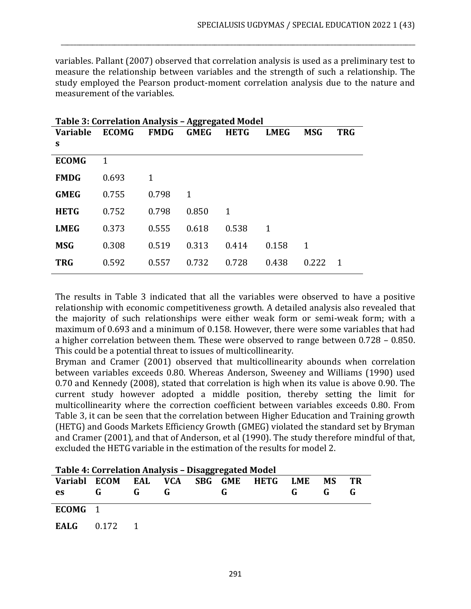variables. Pallant (2007) observed that correlation analysis is used as a preliminary test to measure the relationship between variables and the strength of such a relationship. The study employed the Pearson product-moment correlation analysis due to the nature and measurement of the variables.

\_\_\_\_\_\_\_\_\_\_\_\_\_\_\_\_\_\_\_\_\_\_\_\_\_\_\_\_\_\_\_\_\_\_\_\_\_\_\_\_\_\_\_\_\_\_\_\_\_\_\_\_\_\_\_\_\_\_\_\_\_\_\_\_\_\_\_\_\_\_\_\_\_\_\_\_\_\_\_\_\_\_\_\_\_\_\_\_\_\_\_\_\_\_\_\_\_\_\_\_\_\_\_\_\_\_\_\_\_\_\_\_\_

|                 | Table 3: Correlation Analysis - Aggregated Model |             |             |             |             |            |              |  |  |  |  |
|-----------------|--------------------------------------------------|-------------|-------------|-------------|-------------|------------|--------------|--|--|--|--|
| <b>Variable</b> | <b>ECOMG</b>                                     | <b>FMDG</b> | <b>GMEG</b> | <b>HETG</b> | <b>LMEG</b> | <b>MSG</b> | <b>TRG</b>   |  |  |  |  |
| S               |                                                  |             |             |             |             |            |              |  |  |  |  |
| <b>ECOMG</b>    | 1                                                |             |             |             |             |            |              |  |  |  |  |
| <b>FMDG</b>     | 0.693                                            | 1           |             |             |             |            |              |  |  |  |  |
| <b>GMEG</b>     | 0.755                                            | 0.798       | 1           |             |             |            |              |  |  |  |  |
| <b>HETG</b>     | 0.752                                            | 0.798       | 0.850       | $\mathbf 1$ |             |            |              |  |  |  |  |
| <b>LMEG</b>     | 0.373                                            | 0.555       | 0.618       | 0.538       | $\mathbf 1$ |            |              |  |  |  |  |
| <b>MSG</b>      | 0.308                                            | 0.519       | 0.313       | 0.414       | 0.158       | 1          |              |  |  |  |  |
| <b>TRG</b>      | 0.592                                            | 0.557       | 0.732       | 0.728       | 0.438       | 0.222      | $\mathbf{1}$ |  |  |  |  |

The results in Table 3 indicated that all the variables were observed to have a positive relationship with economic competitiveness growth. A detailed analysis also revealed that the majority of such relationships were either weak form or semi-weak form; with a maximum of 0.693 and a minimum of 0.158. However, there were some variables that had a higher correlation between them. These were observed to range between 0.728 – 0.850. This could be a potential threat to issues of multicollinearity.

Bryman and Cramer (2001) observed that multicollinearity abounds when correlation between variables exceeds 0.80. Whereas Anderson, Sweeney and Williams (1990) used 0.70 and Kennedy (2008), stated that correlation is high when its value is above 0.90. The current study however adopted a middle position, thereby setting the limit for multicollinearity where the correction coefficient between variables exceeds 0.80. From Table 3, it can be seen that the correlation between Higher Education and Training growth (HETG) and Goods Markets Efficiency Growth (GMEG) violated the standard set by Bryman and Cramer (2001), and that of Anderson, et al (1990). The study therefore mindful of that, excluded the HETG variable in the estimation of the results for model 2.

| Table 4: Correlation Analysis – Disaggi egated Model |   |       |                                                                                                                                                                                                                                                                                                  |    |           |    |  |
|------------------------------------------------------|---|-------|--------------------------------------------------------------------------------------------------------------------------------------------------------------------------------------------------------------------------------------------------------------------------------------------------|----|-----------|----|--|
| Variabl ECOM EAL VCA SBG GME HETG LME                |   |       |                                                                                                                                                                                                                                                                                                  |    | <b>MS</b> | TR |  |
| es G                                                 | G | $G -$ | $\mathbf{G}$ and $\mathbf{G}$ and $\mathbf{G}$ and $\mathbf{G}$ and $\mathbf{G}$ and $\mathbf{G}$ and $\mathbf{G}$ and $\mathbf{G}$ and $\mathbf{G}$ and $\mathbf{G}$ and $\mathbf{G}$ and $\mathbf{G}$ and $\mathbf{G}$ and $\mathbf{G}$ and $\mathbf{G}$ and $\mathbf{G}$ and $\mathbf{G}$ and | G. | G         |    |  |
|                                                      |   |       |                                                                                                                                                                                                                                                                                                  |    |           |    |  |
| ECOMG <sub>1</sub>                                   |   |       |                                                                                                                                                                                                                                                                                                  |    |           |    |  |
|                                                      |   |       |                                                                                                                                                                                                                                                                                                  |    |           |    |  |

|  | Table 4: Correlation Analysis - Disaggregated Model |  |
|--|-----------------------------------------------------|--|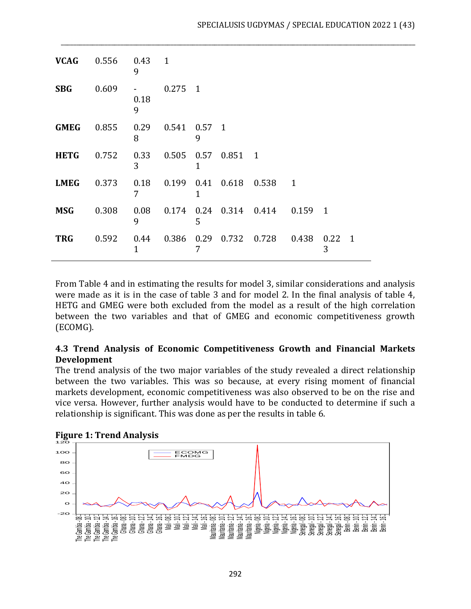| VCAG 0.556 0.43 1 |                                    | 9                   |                      |    |                                           |       |                     |  |
|-------------------|------------------------------------|---------------------|----------------------|----|-------------------------------------------|-------|---------------------|--|
| <b>SBG</b>        | 0.609                              | $\sim$<br>0.18<br>9 | $0.275$ 1            |    |                                           |       |                     |  |
| <b>GMEG</b> 0.855 |                                    | 8                   | 0.29  0.541  0.57  1 | 9  |                                           |       |                     |  |
| <b>HETG</b>       | 0.752  0.33  0.505  0.57  0.851  1 | 3                   |                      |    |                                           |       |                     |  |
| <b>LMEG</b>       | 0.373                              | $0.18$ 0.199<br>7   |                      | 1  | 0.41  0.618  0.538  1                     |       |                     |  |
| <b>MSG</b>        | 0.308                              | 9                   |                      | 5. | 0.08  0.174  0.24  0.314  0.414  0.159  1 |       |                     |  |
| <b>TRG</b>        | 0.592                              | 1                   |                      | 7  | 0.44 0.386 0.29 0.732 0.728               | 0.438 | $0.22 \quad 1$<br>3 |  |

\_\_\_\_\_\_\_\_\_\_\_\_\_\_\_\_\_\_\_\_\_\_\_\_\_\_\_\_\_\_\_\_\_\_\_\_\_\_\_\_\_\_\_\_\_\_\_\_\_\_\_\_\_\_\_\_\_\_\_\_\_\_\_\_\_\_\_\_\_\_\_\_\_\_\_\_\_\_\_\_\_\_\_\_\_\_\_\_\_\_\_\_\_\_\_\_\_\_\_\_\_\_\_\_\_\_\_\_\_\_\_\_\_

From Table 4 and in estimating the results for model 3, similar considerations and analysis were made as it is in the case of table 3 and for model 2. In the final analysis of table 4, HETG and GMEG were both excluded from the model as a result of the high correlation between the two variables and that of GMEG and economic competitiveness growth (ECOMG).

### **4.3 Trend Analysis of Economic Competitiveness Growth and Financial Markets Development**

The trend analysis of the two major variables of the study revealed a direct relationship between the two variables. This was so because, at every rising moment of financial markets development, economic competitiveness was also observed to be on the rise and vice versa. However, further analysis would have to be conducted to determine if such a relationship is significant. This was done as per the results in table 6.



**Figure 1: Trend Analysis**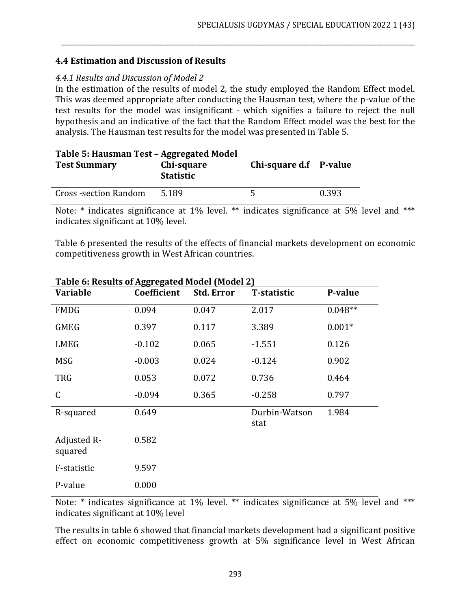## **4.4 Estimation and Discussion of Results**

### *4.4.1 Results and Discussion of Model 2*

In the estimation of the results of model 2, the study employed the Random Effect model. This was deemed appropriate after conducting the Hausman test, where the p-value of the test results for the model was insignificant - which signifies a failure to reject the null hypothesis and an indicative of the fact that the Random Effect model was the best for the analysis. The Hausman test results for the model was presented in Table 5.

\_\_\_\_\_\_\_\_\_\_\_\_\_\_\_\_\_\_\_\_\_\_\_\_\_\_\_\_\_\_\_\_\_\_\_\_\_\_\_\_\_\_\_\_\_\_\_\_\_\_\_\_\_\_\_\_\_\_\_\_\_\_\_\_\_\_\_\_\_\_\_\_\_\_\_\_\_\_\_\_\_\_\_\_\_\_\_\_\_\_\_\_\_\_\_\_\_\_\_\_\_\_\_\_\_\_\_\_\_\_\_\_\_

| Table 5: Hausman Test - Aggregated Model |                                |                        |       |
|------------------------------------------|--------------------------------|------------------------|-------|
| <b>Test Summary</b>                      | Chi-square<br><b>Statistic</b> | Chi-square d.f P-value |       |
| <b>Cross-section Random</b>              | 5.189                          |                        | 0.393 |

Note: \* indicates significance at 1% level. \*\* indicates significance at 5% level and \*\*\* indicates significant at 10% level.

Table 6 presented the results of the effects of financial markets development on economic competitiveness growth in West African countries.

| <b>Variable</b>        | Coefficient | <b>Std. Error</b> | <b>T-statistic</b>    | P-value   |
|------------------------|-------------|-------------------|-----------------------|-----------|
| <b>FMDG</b>            | 0.094       | 0.047             | 2.017                 | $0.048**$ |
| GMEG                   | 0.397       | 0.117             | 3.389                 | $0.001*$  |
| LMEG                   | $-0.102$    | 0.065             | $-1.551$              | 0.126     |
| <b>MSG</b>             | $-0.003$    | 0.024             | $-0.124$              | 0.902     |
| <b>TRG</b>             | 0.053       | 0.072             | 0.736                 | 0.464     |
| $\mathcal{C}$          | $-0.094$    | 0.365             | $-0.258$              | 0.797     |
| R-squared              | 0.649       |                   | Durbin-Watson<br>stat | 1.984     |
| Adjusted R-<br>squared | 0.582       |                   |                       |           |
| F-statistic            | 9.597       |                   |                       |           |
| P-value                | 0.000       |                   |                       |           |

### **Table 6: Results of Aggregated Model (Model 2)**

Note: \* indicates significance at 1% level. \*\* indicates significance at 5% level and \*\*\* indicates significant at 10% level

The results in table 6 showed that financial markets development had a significant positive effect on economic competitiveness growth at 5% significance level in West African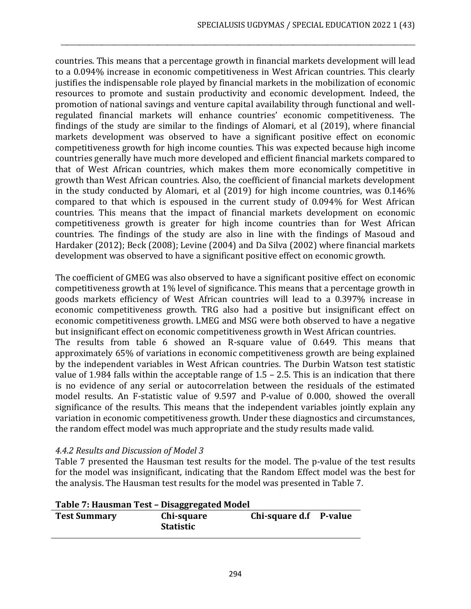countries. This means that a percentage growth in financial markets development will lead to a 0.094% increase in economic competitiveness in West African countries. This clearly justifies the indispensable role played by financial markets in the mobilization of economic resources to promote and sustain productivity and economic development. Indeed, the promotion of national savings and venture capital availability through functional and wellregulated financial markets will enhance countries' economic competitiveness. The findings of the study are similar to the findings of Alomari, et al (2019), where financial markets development was observed to have a significant positive effect on economic competitiveness growth for high income counties. This was expected because high income countries generally have much more developed and efficient financial markets compared to that of West African countries, which makes them more economically competitive in growth than West African countries. Also, the coefficient of financial markets development in the study conducted by Alomari, et al (2019) for high income countries, was 0.146% compared to that which is espoused in the current study of 0.094% for West African countries. This means that the impact of financial markets development on economic competitiveness growth is greater for high income countries than for West African countries. The findings of the study are also in line with the findings of Masoud and Hardaker (2012); Beck (2008); Levine (2004) and Da Silva (2002) where financial markets development was observed to have a significant positive effect on economic growth.

\_\_\_\_\_\_\_\_\_\_\_\_\_\_\_\_\_\_\_\_\_\_\_\_\_\_\_\_\_\_\_\_\_\_\_\_\_\_\_\_\_\_\_\_\_\_\_\_\_\_\_\_\_\_\_\_\_\_\_\_\_\_\_\_\_\_\_\_\_\_\_\_\_\_\_\_\_\_\_\_\_\_\_\_\_\_\_\_\_\_\_\_\_\_\_\_\_\_\_\_\_\_\_\_\_\_\_\_\_\_\_\_\_

The coefficient of GMEG was also observed to have a significant positive effect on economic competitiveness growth at 1% level of significance. This means that a percentage growth in goods markets efficiency of West African countries will lead to a 0.397% increase in economic competitiveness growth. TRG also had a positive but insignificant effect on economic competitiveness growth. LMEG and MSG were both observed to have a negative but insignificant effect on economic competitiveness growth in West African countries.

The results from table 6 showed an R-square value of 0.649. This means that approximately 65% of variations in economic competitiveness growth are being explained by the independent variables in West African countries. The Durbin Watson test statistic value of 1.984 falls within the acceptable range of 1.5 – 2.5. This is an indication that there is no evidence of any serial or autocorrelation between the residuals of the estimated model results. An F-statistic value of 9.597 and P-value of 0.000, showed the overall significance of the results. This means that the independent variables jointly explain any variation in economic competitiveness growth. Under these diagnostics and circumstances, the random effect model was much appropriate and the study results made valid.

#### *4.4.2 Results and Discussion of Model 3*

Table 7 presented the Hausman test results for the model. The p-value of the test results for the model was insignificant, indicating that the Random Effect model was the best for the analysis. The Hausman test results for the model was presented in Table 7.

| Table 7: Haushian Test - Disaggi egateu Mouel |                                |                        |  |  |  |  |  |  |
|-----------------------------------------------|--------------------------------|------------------------|--|--|--|--|--|--|
| <b>Test Summary</b>                           | Chi-square<br><b>Statistic</b> | Chi-square d.f P-value |  |  |  |  |  |  |
|                                               |                                |                        |  |  |  |  |  |  |

#### **Table 7: Hausman Test – Disaggregated Model**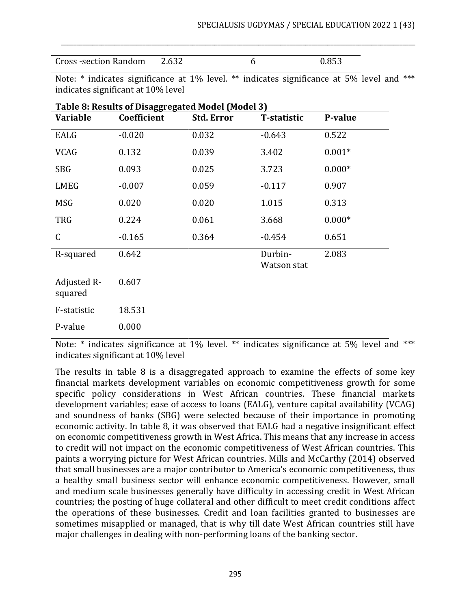| <b>Cross-section Random</b> | 2.632 |  |
|-----------------------------|-------|--|

|                                    |  | Note: * indicates significance at 1% level. ** indicates significance at 5% level and *** |  |  |  |  |  |  |  |
|------------------------------------|--|-------------------------------------------------------------------------------------------|--|--|--|--|--|--|--|
| indicates significant at 10% level |  |                                                                                           |  |  |  |  |  |  |  |

\_\_\_\_\_\_\_\_\_\_\_\_\_\_\_\_\_\_\_\_\_\_\_\_\_\_\_\_\_\_\_\_\_\_\_\_\_\_\_\_\_\_\_\_\_\_\_\_\_\_\_\_\_\_\_\_\_\_\_\_\_\_\_\_\_\_\_\_\_\_\_\_\_\_\_\_\_\_\_\_\_\_\_\_\_\_\_\_\_\_\_\_\_\_\_\_\_\_\_\_\_\_\_\_\_\_\_\_\_\_\_\_\_

| Table 8: Results of Disaggregated Model (Model 3) |             |                   |                        |          |  |  |  |
|---------------------------------------------------|-------------|-------------------|------------------------|----------|--|--|--|
| <b>Variable</b>                                   | Coefficient | <b>Std. Error</b> | <b>T-statistic</b>     | P-value  |  |  |  |
| EALG                                              | $-0.020$    | 0.032             | $-0.643$               | 0.522    |  |  |  |
| <b>VCAG</b>                                       | 0.132       | 0.039             | 3.402                  | $0.001*$ |  |  |  |
| <b>SBG</b>                                        | 0.093       | 0.025             | 3.723                  | $0.000*$ |  |  |  |
| LMEG                                              | $-0.007$    | 0.059             | $-0.117$               | 0.907    |  |  |  |
| <b>MSG</b>                                        | 0.020       | 0.020             | 1.015                  | 0.313    |  |  |  |
| <b>TRG</b>                                        | 0.224       | 0.061             | 3.668                  | $0.000*$ |  |  |  |
| $\mathsf C$                                       | $-0.165$    | 0.364             | $-0.454$               | 0.651    |  |  |  |
| R-squared                                         | 0.642       |                   | Durbin-<br>Watson stat | 2.083    |  |  |  |
| Adjusted R-<br>squared                            | 0.607       |                   |                        |          |  |  |  |
| F-statistic                                       | 18.531      |                   |                        |          |  |  |  |
| P-value                                           | 0.000       |                   |                        |          |  |  |  |

| Table 8: Results of Disaggregated Model (Model 3) |  |
|---------------------------------------------------|--|
|                                                   |  |

Note: \* indicates significance at 1% level. \*\* indicates significance at 5% level and \*\*\* indicates significant at 10% level

The results in table 8 is a disaggregated approach to examine the effects of some key financial markets development variables on economic competitiveness growth for some specific policy considerations in West African countries. These financial markets development variables; ease of access to loans (EALG), venture capital availability (VCAG) and soundness of banks (SBG) were selected because of their importance in promoting economic activity. In table 8, it was observed that EALG had a negative insignificant effect on economic competitiveness growth in West Africa. This means that any increase in access to credit will not impact on the economic competitiveness of West African countries. This paints a worrying picture for West African countries. Mills and McCarthy (2014) observed that small businesses are a major contributor to America's economic competitiveness, thus a healthy small business sector will enhance economic competitiveness. However, small and medium scale businesses generally have difficulty in accessing credit in West African countries; the posting of huge collateral and other difficult to meet credit conditions affect the operations of these businesses. Credit and loan facilities granted to businesses are sometimes misapplied or managed, that is why till date West African countries still have major challenges in dealing with non-performing loans of the banking sector.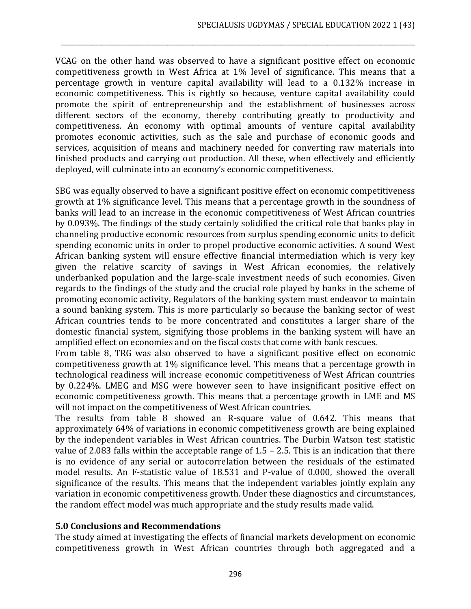VCAG on the other hand was observed to have a significant positive effect on economic competitiveness growth in West Africa at 1% level of significance. This means that a percentage growth in venture capital availability will lead to a 0.132% increase in economic competitiveness. This is rightly so because, venture capital availability could promote the spirit of entrepreneurship and the establishment of businesses across different sectors of the economy, thereby contributing greatly to productivity and competitiveness. An economy with optimal amounts of venture capital availability promotes economic activities, such as the sale and purchase of economic goods and services, acquisition of means and machinery needed for converting raw materials into finished products and carrying out production. All these, when effectively and efficiently deployed, will culminate into an economy's economic competitiveness.

\_\_\_\_\_\_\_\_\_\_\_\_\_\_\_\_\_\_\_\_\_\_\_\_\_\_\_\_\_\_\_\_\_\_\_\_\_\_\_\_\_\_\_\_\_\_\_\_\_\_\_\_\_\_\_\_\_\_\_\_\_\_\_\_\_\_\_\_\_\_\_\_\_\_\_\_\_\_\_\_\_\_\_\_\_\_\_\_\_\_\_\_\_\_\_\_\_\_\_\_\_\_\_\_\_\_\_\_\_\_\_\_\_

SBG was equally observed to have a significant positive effect on economic competitiveness growth at 1% significance level. This means that a percentage growth in the soundness of banks will lead to an increase in the economic competitiveness of West African countries by 0.093%. The findings of the study certainly solidified the critical role that banks play in channeling productive economic resources from surplus spending economic units to deficit spending economic units in order to propel productive economic activities. A sound West African banking system will ensure effective financial intermediation which is very key given the relative scarcity of savings in West African economies, the relatively underbanked population and the large-scale investment needs of such economies. Given regards to the findings of the study and the crucial role played by banks in the scheme of promoting economic activity, Regulators of the banking system must endeavor to maintain a sound banking system. This is more particularly so because the banking sector of west African countries tends to be more concentrated and constitutes a larger share of the domestic financial system, signifying those problems in the banking system will have an amplified effect on economies and on the fiscal costs that come with bank rescues.

From table 8, TRG was also observed to have a significant positive effect on economic competitiveness growth at 1% significance level. This means that a percentage growth in technological readiness will increase economic competitiveness of West African countries by 0.224%. LMEG and MSG were however seen to have insignificant positive effect on economic competitiveness growth. This means that a percentage growth in LME and MS will not impact on the competitiveness of West African countries.

The results from table 8 showed an R-square value of 0.642. This means that approximately 64% of variations in economic competitiveness growth are being explained by the independent variables in West African countries. The Durbin Watson test statistic value of 2.083 falls within the acceptable range of 1.5 – 2.5. This is an indication that there is no evidence of any serial or autocorrelation between the residuals of the estimated model results. An F-statistic value of 18.531 and P-value of 0.000, showed the overall significance of the results. This means that the independent variables jointly explain any variation in economic competitiveness growth. Under these diagnostics and circumstances, the random effect model was much appropriate and the study results made valid.

#### **5.0 Conclusions and Recommendations**

The study aimed at investigating the effects of financial markets development on economic competitiveness growth in West African countries through both aggregated and a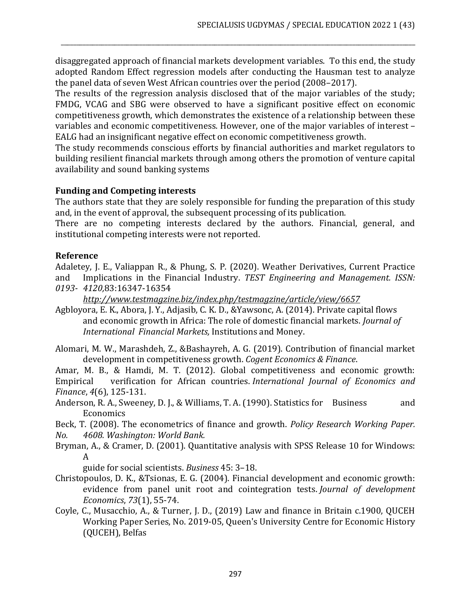disaggregated approach of financial markets development variables. To this end, the study adopted Random Effect regression models after conducting the Hausman test to analyze the panel data of seven West African countries over the period (2008–2017).

\_\_\_\_\_\_\_\_\_\_\_\_\_\_\_\_\_\_\_\_\_\_\_\_\_\_\_\_\_\_\_\_\_\_\_\_\_\_\_\_\_\_\_\_\_\_\_\_\_\_\_\_\_\_\_\_\_\_\_\_\_\_\_\_\_\_\_\_\_\_\_\_\_\_\_\_\_\_\_\_\_\_\_\_\_\_\_\_\_\_\_\_\_\_\_\_\_\_\_\_\_\_\_\_\_\_\_\_\_\_\_\_\_

The results of the regression analysis disclosed that of the major variables of the study; FMDG, VCAG and SBG were observed to have a significant positive effect on economic competitiveness growth, which demonstrates the existence of a relationship between these variables and economic competitiveness. However, one of the major variables of interest – EALG had an insignificant negative effect on economic competitiveness growth.

The study recommends conscious efforts by financial authorities and market regulators to building resilient financial markets through among others the promotion of venture capital availability and sound banking systems

## **Funding and Competing interests**

The authors state that they are solely responsible for funding the preparation of this study and, in the event of approval, the subsequent processing of its publication.

There are no competing interests declared by the authors. Financial, general, and institutional competing interests were not reported.

### **Reference**

Adaletey, J. E., Valiappan R., & Phung, S. P. (2020). Weather Derivatives, Current Practice and Implications in the Financial Industry. *TEST Engineering and Management. ISSN: 0193- 4120,*83:16347-16354

*<http://www.testmagzine.biz/index.php/testmagzine/article/view/6657>*

- Agbloyora, E. K., Abora, J. Y., Adjasib, C. K. D., &Yawsonc, A. (2014). Private capital flows and economic growth in Africa: The role of domestic financial markets. *Journal of International Financial Markets,* Institutions and Money.
- Alomari, M. W., Marashdeh, Z., &Bashayreh, A. G. (2019). Contribution of financial market development in competitiveness growth. *Cogent Economics & Finance*.

Amar, M. B., & Hamdi, M. T. (2012). Global competitiveness and economic growth: Empirical verification for African countries. *International Journal of Economics and Finance*, *4*(6), 125-131.

- Anderson, R. A., Sweeney, D. J., & Williams, T. A. (1990). Statistics for Business and Economics
- Beck, T. (2008). The econometrics of finance and growth. *Policy Research Working Paper.*
- *No. 4608. Washington: World Bank.*
- Bryman, A., & Cramer, D. (2001). Quantitative analysis with SPSS Release 10 for Windows: A

guide for social scientists. *Business* 45: 3–18.

- Christopoulos, D. K., &Tsionas, E. G. (2004). Financial development and economic growth: evidence from panel unit root and cointegration tests. *Journal of development Economics*, *73*(1), 55-74.
- Coyle, C., Musacchio, A., & Turner, J. D., (2019) Law and finance in Britain c.1900, QUCEH Working Paper Series, No. 2019-05, Queen's University Centre for Economic History (QUCEH), Belfas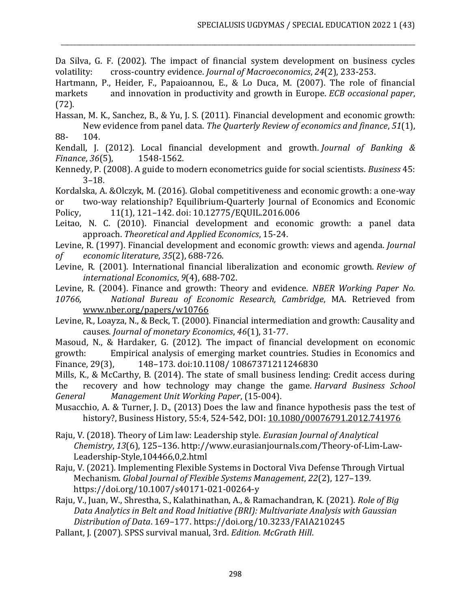Da Silva, G. F. (2002). The impact of financial system development on business cycles volatility: cross-country evidence. *Journal of Macroeconomics*, *24*(2), 233-253.

\_\_\_\_\_\_\_\_\_\_\_\_\_\_\_\_\_\_\_\_\_\_\_\_\_\_\_\_\_\_\_\_\_\_\_\_\_\_\_\_\_\_\_\_\_\_\_\_\_\_\_\_\_\_\_\_\_\_\_\_\_\_\_\_\_\_\_\_\_\_\_\_\_\_\_\_\_\_\_\_\_\_\_\_\_\_\_\_\_\_\_\_\_\_\_\_\_\_\_\_\_\_\_\_\_\_\_\_\_\_\_\_\_

Hartmann, P., Heider, F., Papaioannou, E., & Lo Duca, M. (2007). The role of financial markets and innovation in productivity and growth in Europe. *ECB occasional paper*, (72).

Hassan, M. K., Sanchez, B., & Yu, J. S. (2011). Financial development and economic growth: New evidence from panel data. *The Quarterly Review of economics and finance*, *51*(1), 88- 104.

Kendall, J. (2012). Local financial development and growth. *Journal of Banking & Finance*, *36*(5), 1548-1562.

Kennedy, P. (2008). A guide to modern econometrics guide for social scientists. *Business* 45: 3–18.

Kordalska, A. &Olczyk, M. (2016). Global competitiveness and economic growth: a one-way

- or two-way relationship? Equilibrium-Quarterly Journal of Economics and Economic Policy, 11(1), 121–142. doi: 10.12775/EQUIL.2016.006
- Leitao, N. C. (2010). Financial development and economic growth: a panel data approach. *Theoretical and Applied Economics*, 15-24.

Levine, R. (1997). Financial development and economic growth: views and agenda. *Journal of economic literature*, *35*(2), 688-726.

Levine, R. (2001). International financial liberalization and economic growth. *Review of international Economics*, *9*(4), 688-702.

Levine, R. (2004). Finance and growth: Theory and evidence. *NBER Working Paper No.* 

- *10766, National Bureau of Economic Research, Cambridge*, MA. Retrieved from [www.nber.org/papers/w10766](http://www.nber.org/papers/w10766)
- Levine, R., Loayza, N., & Beck, T. (2000). Financial intermediation and growth: Causality and causes. *Journal of monetary Economics*, *46*(1), 31-77.

Masoud, N., & Hardaker, G. (2012). The impact of financial development on economic growth: Empirical analysis of emerging market countries. Studies in Economics and Finance, 29(3), 148–173. doi:10.1108/ 10867371211246830

Mills, K., & McCarthy, B. (2014). The state of small business lending: Credit access during the recovery and how technology may change the game. *Harvard Business School General Management Unit Working Paper*, (15-004).

Musacchio, A. & Turner, J. D., (2013) Does the law and finance hypothesis pass the test of history?, Business History, 55:4, 524-542, DOI: [10.1080/00076791.2012.741976](https://doi.org/10.1080/00076791.2012.741976)

- Raju, V. (2018). Theory of Lim law: Leadership style. *Eurasian Journal of Analytical Chemistry*, *13*(6), 125–136. http://www.eurasianjournals.com/Theory-of-Lim-Law-Leadership-Style,104466,0,2.html
- Raju, V. (2021). Implementing Flexible Systems in Doctoral Viva Defense Through Virtual Mechanism. *Global Journal of Flexible Systems Management*, *22*(2), 127–139. https://doi.org/10.1007/s40171-021-00264-y
- Raju, V., Juan, W., Shrestha, S., Kalathinathan, A., & Ramachandran, K. (2021). *Role of Big Data Analytics in Belt and Road Initiative (BRI): Multivariate Analysis with Gaussian Distribution of Data*. 169–177. https://doi.org/10.3233/FAIA210245
- Pallant, J. (2007). SPSS survival manual, 3rd. *Edition. McGrath Hill*.